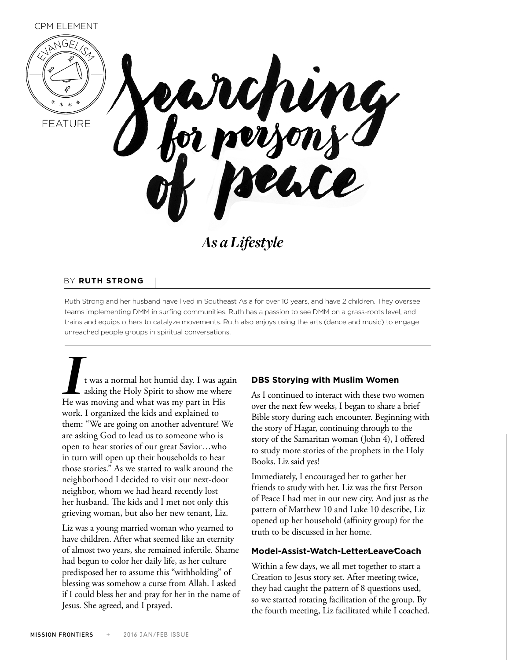

*As a Lifestyle*

### BY **RUTH STRONG**

Ruth Strong and her husband have lived in Southeast Asia for over 10 years, and have 2 children. They oversee teams implementing DMM in surfing communities. Ruth has a passion to see DMM on a grass-roots level, and trains and equips others to catalyze movements. Ruth also enjoys using the arts (dance and music) to engage unreached people groups in spiritual conversations.

*I*t was a normal hot humid day. I was again asking the Holy Spirit to show me where He was moving and what was my part in His work. I organized the kids and explained to them: "We are going on another adventure! We are asking God to lead us to someone who is open to hear stories of our great Savior…who in turn will open up their households to hear those stories." As we started to walk around the neighborhood I decided to visit our next-door neighbor, whom we had heard recently lost her husband. The kids and I met not only this grieving woman, but also her new tenant, Liz.

Liz was a young married woman who yearned to have children. After what seemed like an eternity of almost two years, she remained infertile. Shame had begun to color her daily life, as her culture predisposed her to assume this "withholding" of blessing was somehow a curse from Allah. I asked if I could bless her and pray for her in the name of Jesus. She agreed, and I prayed.

### **DBS Storying with Muslim Women**

As I continued to interact with these two women over the next few weeks, I began to share a brief Bible story during each encounter. Beginning with the story of Hagar, continuing through to the story of the Samaritan woman (John 4), I offered to study more stories of the prophets in the Holy Books. Liz said yes!

Immediately, I encouraged her to gather her friends to study with her. Liz was the first Person of Peace I had met in our new city. And just as the pattern of Matthew 10 and Luke 10 describe, Liz opened up her household (affinity group) for the truth to be discussed in her home.

#### **Model-Assist-Watch-Letter/Leave/Coach**

Within a few days, we all met together to start a Creation to Jesus story set. After meeting twice, they had caught the pattern of 8 questions used, so we started rotating facilitation of the group. By the fourth meeting, Liz facilitated while I coached.